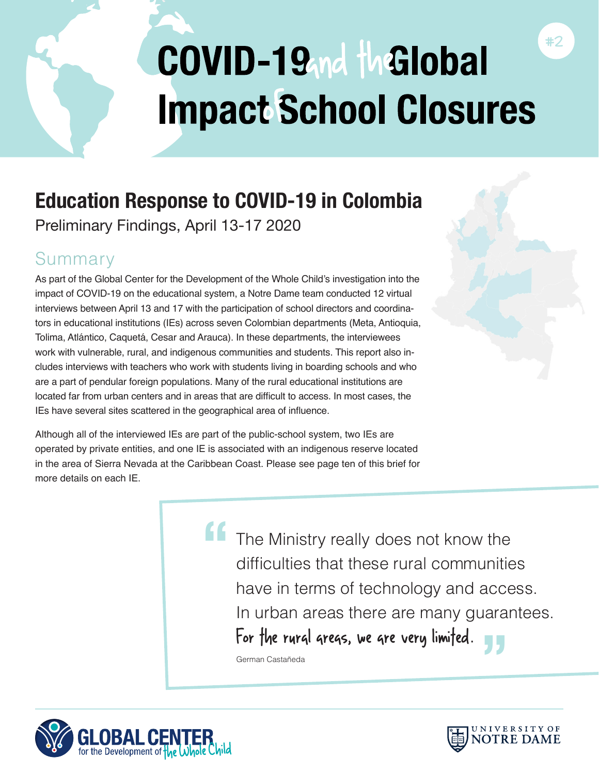# COVID-19 nd the Global **Impact School Closures**

# **Education Response to COVID-19 in Colombia**

Preliminary Findings, April 13-17 2020

# Summary

As part of the Global Center for the Development of the Whole Child's investigation into the impact of COVID-19 on the educational system, a Notre Dame team conducted 12 virtual interviews between April 13 and 17 with the participation of school directors and coordinators in educational institutions (IEs) across seven Colombian departments (Meta, Antioquia, Tolima, Atlántico, Caquetá, Cesar and Arauca). In these departments, the interviewees work with vulnerable, rural, and indigenous communities and students. This report also includes interviews with teachers who work with students living in boarding schools and who are a part of pendular foreign populations. Many of the rural educational institutions are located far from urban centers and in areas that are difficult to access. In most cases, the IEs have several sites scattered in the geographical area of influence.

Although all of the interviewed IEs are part of the public-school system, two IEs are operated by private entities, and one IE is associated with an indigenous reserve located in the area of Sierra Nevada at the Caribbean Coast. Please see page ten of this brief for more details on each IF

> The Ministry really does not know the difficulties that these rural communities have in terms of technology and access. In urban areas there are many guarantees.<br>**For the rurgl gregs, we gre very limited** For the rural areas, we are very limited. **"**

German Castañeda



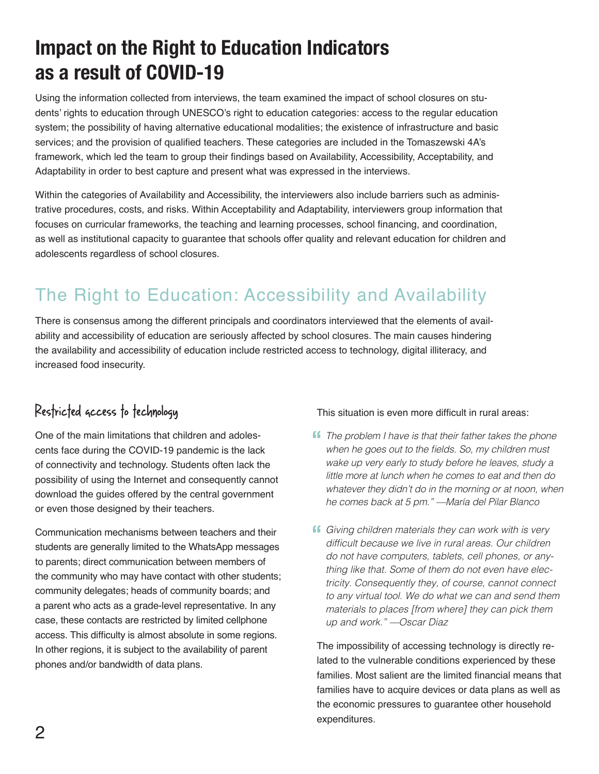# **Impact on the Right to Education Indicators as a result of COVID-19**

Using the information collected from interviews, the team examined the impact of school closures on students' rights to education through UNESCO's right to education categories: access to the regular education system; the possibility of having alternative educational modalities; the existence of infrastructure and basic services; and the provision of qualified teachers. These categories are included in the Tomaszewski 4A's framework, which led the team to group their findings based on Availability, Accessibility, Acceptability, and Adaptability in order to best capture and present what was expressed in the interviews.

Within the categories of Availability and Accessibility, the interviewers also include barriers such as administrative procedures, costs, and risks. Within Acceptability and Adaptability, interviewers group information that focuses on curricular frameworks, the teaching and learning processes, school financing, and coordination, as well as institutional capacity to guarantee that schools offer quality and relevant education for children and adolescents regardless of school closures.

# The Right to Education: Accessibility and Availability

There is consensus among the different principals and coordinators interviewed that the elements of availability and accessibility of education are seriously affected by school closures. The main causes hindering the availability and accessibility of education include restricted access to technology, digital illiteracy, and increased food insecurity.

### Restricted access to technology

One of the main limitations that children and adolescents face during the COVID-19 pandemic is the lack of connectivity and technology. Students often lack the possibility of using the Internet and consequently cannot download the guides offered by the central government or even those designed by their teachers.

Communication mechanisms between teachers and their students are generally limited to the WhatsApp messages to parents; direct communication between members of the community who may have contact with other students; community delegates; heads of community boards; and a parent who acts as a grade-level representative. In any case, these contacts are restricted by limited cellphone access. This difficulty is almost absolute in some regions. In other regions, it is subject to the availability of parent phones and/or bandwidth of data plans.

#### This situation is even more difficult in rural areas:

- **f** The problem I have is that their father takes the phone when he goes out to the fields. So, my children must when he goes out to the fields. So, my children must wake up very early to study before he leaves, study a little more at lunch when he comes to eat and then do whatever they didn't do in the morning or at noon, when he comes back at 5 pm." —María del Pilar Blanco
- **f** Giving children materials they can work with is very difficult because we live in rural areas. Our children difficult because we live in rural areas. Our children do not have computers, tablets, cell phones, or anything like that. Some of them do not even have electricity. Consequently they, of course, cannot connect to any virtual tool. We do what we can and send them materials to places [from where] they can pick them up and work." —Oscar Diaz

The impossibility of accessing technology is directly related to the vulnerable conditions experienced by these families. Most salient are the limited financial means that families have to acquire devices or data plans as well as the economic pressures to guarantee other household expenditures.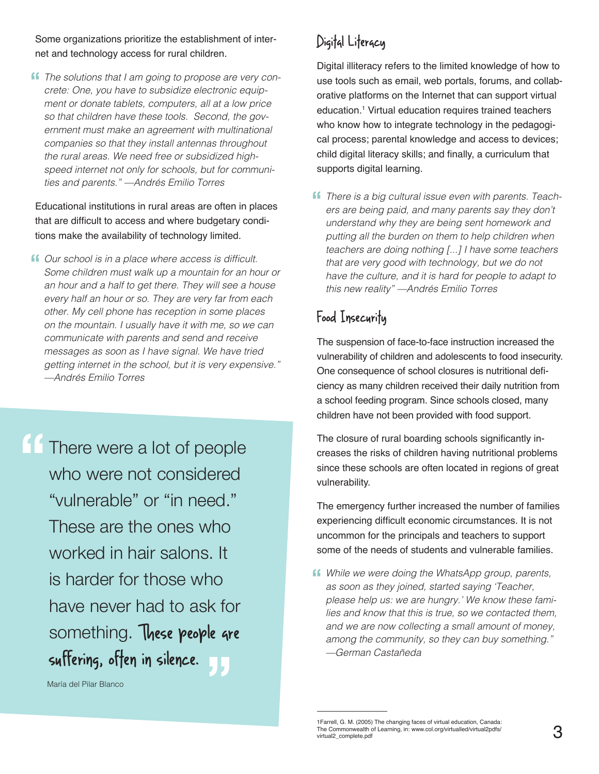Some organizations prioritize the establishment of internet and technology access for rural children.

**ff** The solutions that I am going to propose are very concrete: One, you have to subsidize electronic equipcrete: One, you have to subsidize electronic equipment or donate tablets, computers, all at a low price so that children have these tools. Second, the gov*ernment must make an agreement with multinational*  companies so that they install antennas throughout the rural areas. We need free or subsidized highspeed internet not only for schools, but for communities and parents." —Andrés Emilio Torres

Educational institutions in rural areas are often in places that are difficult to access and where budgetary conditions make the availability of technology limited.

**ff** Our school is in a place where access is difficult.<br>Some children must walk up a mountain for an ho Some children must walk up a mountain for an hour or an hour and a half to get there. They will see a house every half an hour or so. They are very far from each other. My cell phone has reception in some places on the mountain. I usually have it with me, so we can communicate with parents and send and receive messages as soon as I have signal. We have tried getting internet in the school, but it is very expensive." —Andrés Emilio Torres

**"** <sup>"</sup><br>|<br>|} There were a lot of people who were not considered "vulnerable" or "in need." These are the ones who worked in hair salons. It is harder for those who have never had to ask for something. These people are suffering, often in silence.

María del Pilar Blanco

## Digital Literacy

Digital illiteracy refers to the limited knowledge of how to use tools such as email, web portals, forums, and collaborative platforms on the Internet that can support virtual education.1 Virtual education requires trained teachers who know how to integrate technology in the pedagogical process; parental knowledge and access to devices; child digital literacy skills; and finally, a curriculum that supports digital learning.

There is a big cultural issue even with parents. Teach*-***"** ers are being paid, and many parents say they don't understand why they are being sent homework and putting all the burden on them to help children when teachers are doing nothing [...] I have some teachers that are very good with technology, but we do not have the culture, and it is hard for people to adapt to this new reality" —Andrés Emilio Torres

# Food Insecurity

The suspension of face-to-face instruction increased the vulnerability of children and adolescents to food insecurity. One consequence of school closures is nutritional deficiency as many children received their daily nutrition from a school feeding program. Since schools closed, many children have not been provided with food support.

The closure of rural boarding schools significantly increases the risks of children having nutritional problems since these schools are often located in regions of great vulnerability.

The emergency further increased the number of families experiencing difficult economic circumstances. It is not uncommon for the principals and teachers to support some of the needs of students and vulnerable families.

**ff** While we were doing the WhatsApp group, parents, as soon as they joined, started saying 'Teacher, as soon as they joined, started saying 'Teacher, please help us: we are hungry.' We know these families and know that this is true, so we contacted them, and we are now collecting a small amount of money, among the community, so they can buy something." —German Castañeda

<sup>1</sup>Farrell, G. M. (2005) The changing faces of virtual education, Canada: The Commonwealth of Learning, in: www.col.org/virtualled/virtual2pdfs/<br>virtual2\_complete.pdf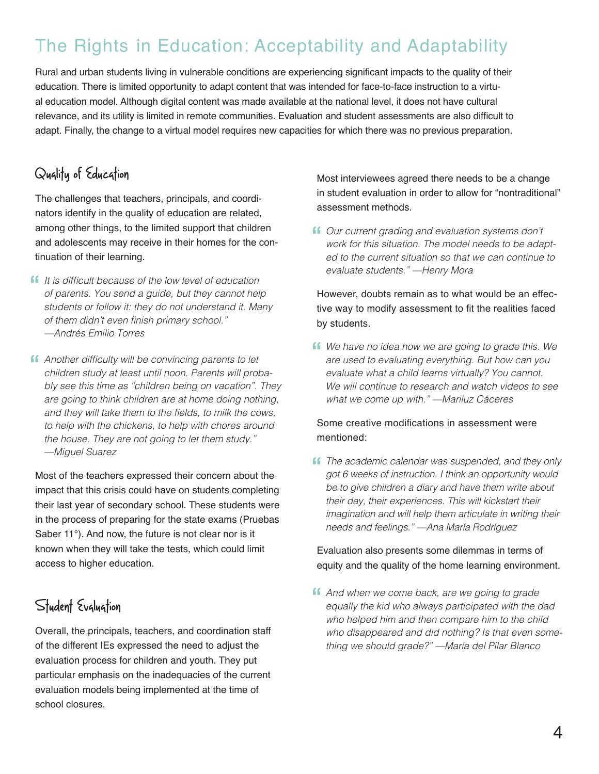# The Rights in Education: Acceptability and Adaptability

Rural and urban students living in vulnerable conditions are experiencing significant impacts to the quality of their education. There is limited opportunity to adapt content that was intended for face-to-face instruction to a virtual education model. Although digital content was made available at the national level, it does not have cultural relevance, and its utility is limited in remote communities. Evaluation and student assessments are also difficult to adapt. Finally, the change to a virtual model requires new capacities for which there was no previous preparation.

# Quality of Education

The challenges that teachers, principals, and coordinators identify in the quality of education are related, among other things, to the limited support that children and adolescents may receive in their homes for the continuation of their learning.

- **If** It is difficult because of the low level of education of parents. You send a quide, but they cannot held of parents. You send a guide, but they cannot help students or follow it: they do not understand it. Many of them didn't even finish primary school." —Andrés Emilio Torres
- **f** Another difficulty will be convincing parents to let children study at least until noon. Parents will prob children study at least until noon. Parents will probably see this time as "children being on vacation". They are going to think children are at home doing nothing, and they will take them to the fields, to milk the cows, to help with the chickens, to help with chores around the house. They are not going to let them study." —Miguel Suarez

Most of the teachers expressed their concern about the impact that this crisis could have on students completing their last year of secondary school. These students were in the process of preparing for the state exams (Pruebas Saber 11°). And now, the future is not clear nor is it known when they will take the tests, which could limit access to higher education.

# Student Evaluation

Overall, the principals, teachers, and coordination staff of the different IEs expressed the need to adjust the evaluation process for children and youth. They put particular emphasis on the inadequacies of the current evaluation models being implemented at the time of school closures.

Most interviewees agreed there needs to be a change in student evaluation in order to allow for "nontraditional" assessment methods.

Our current grading and evaluation systems don't **"** work for this situation. The model needs to be adapted to the current situation so that we can continue to evaluate students." —Henry Mora

However, doubts remain as to what would be an effective way to modify assessment to fit the realities faced by students.

**f** We have no idea how we are going to grade this. We are used to evaluating everything. But how can you are used to evaluating everything. But how can you evaluate what a child learns virtually? You cannot. We will continue to research and watch videos to see what we come up with." —Mariluz Cáceres

#### Some creative modifications in assessment were mentioned:

**f** The academic calendar was suspended, and they only got 6 weeks of instruction. I think an opportunity would got 6 weeks of instruction. I think an opportunity would be to give children a diary and have them write about their day, their experiences. This will kickstart their imagination and will help them articulate in writing their needs and feelings." —Ana María Rodríguez

Evaluation also presents some dilemmas in terms of equity and the quality of the home learning environment.

**f** And when we come back, are we going to grade<br>equally the kid who always participated with the c equally the kid who always participated with the dad who helped him and then compare him to the child who disappeared and did nothing? Is that even something we should grade?" —María del Pilar Blanco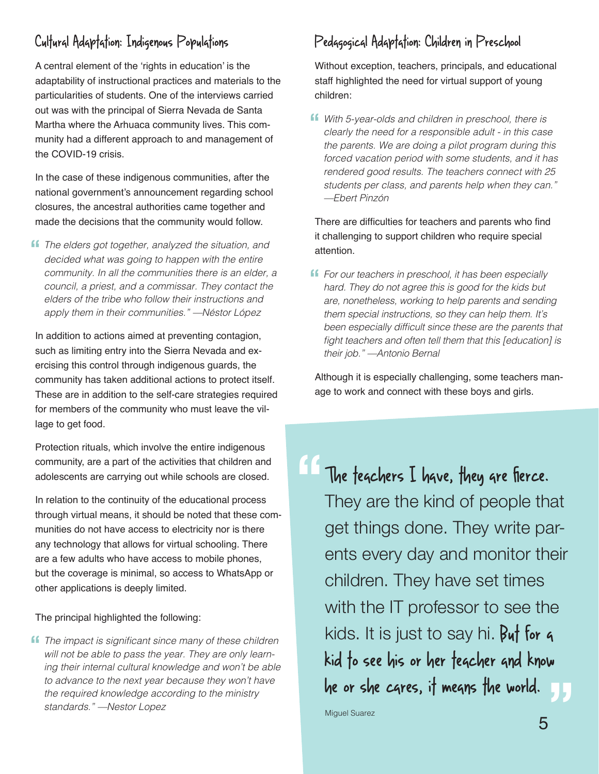### Cultural Adaptation: Indigenous Populations

A central element of the 'rights in education' is the adaptability of instructional practices and materials to the particularities of students. One of the interviews carried out was with the principal of Sierra Nevada de Santa Martha where the Arhuaca community lives. This community had a different approach to and management of the COVID-19 crisis.

In the case of these indigenous communities, after the national government's announcement regarding school closures, the ancestral authorities came together and made the decisions that the community would follow.

**f** The elders got together, analyzed the situation, and<br>decided what was going to bannen with the entire decided what was going to happen with the entire community. In all the communities there is an elder, a council, a priest, and a commissar. They contact the elders of the tribe who follow their instructions and apply them in their communities." —Néstor López

In addition to actions aimed at preventing contagion, such as limiting entry into the Sierra Nevada and exercising this control through indigenous guards, the community has taken additional actions to protect itself. These are in addition to the self-care strategies required for members of the community who must leave the village to get food.

Protection rituals, which involve the entire indigenous community, are a part of the activities that children and adolescents are carrying out while schools are closed.

In relation to the continuity of the educational process through virtual means, it should be noted that these communities do not have access to electricity nor is there any technology that allows for virtual schooling. There are a few adults who have access to mobile phones, but the coverage is minimal, so access to WhatsApp or other applications is deeply limited.

#### The principal highlighted the following:

**f** The impact is significant since many of these children will not be able to pass the year. They are only learnwill not be able to pass the year. They are only learning their internal cultural knowledge and won't be able to advance to the next year because they won't have the required knowledge according to the ministry standards." —Nestor Lopez

### Pedagogical Adaptation: Children in Preschool

Without exception, teachers, principals, and educational staff highlighted the need for virtual support of young children:

**f** With 5-year-olds and children in preschool, there is clearly the need for a responsible adult - in this case clearly the need for a responsible adult - in this case the parents. We are doing a pilot program during this forced vacation period with some students, and it has rendered good results. The teachers connect with 25 students per class, and parents help when they can." —Ebert Pinzón

There are difficulties for teachers and parents who find it challenging to support children who require special attention.

**f** For our teachers in preschool, it has been especially hard. They do not agree this is good for the kids but hard. They do not agree this is good for the kids but are, nonetheless, working to help parents and sending them special instructions, so they can help them. It's been especially difficult since these are the parents that fight teachers and often tell them that this [education] is their job." —Antonio Bernal

Although it is especially challenging, some teachers manage to work and connect with these boys and girls.

The teachers I have, they are fierce. They are the kind of people that get things done. They write parents every day and monitor their children. They have set times with the IT professor to see the kids. It is just to say hi. But for 4 kid to see his or her teacher and know he or she cares, it means the world. **" "**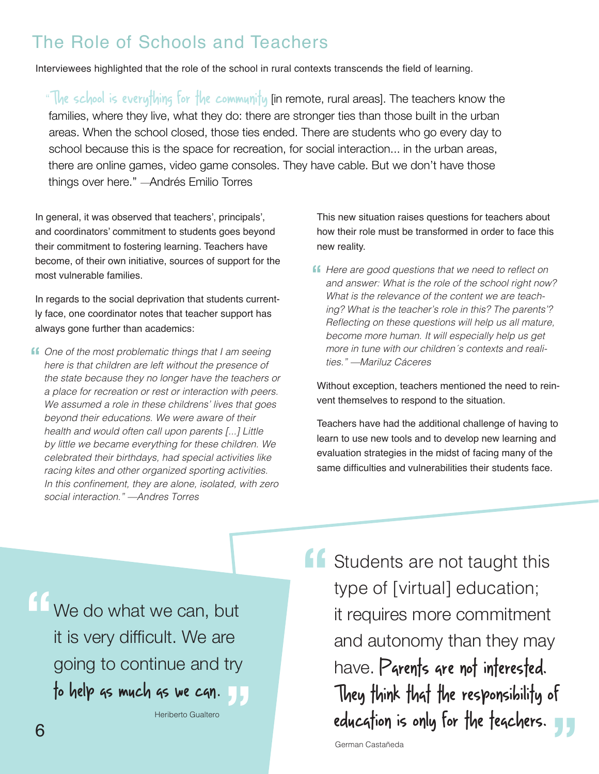# The Role of Schools and Teachers

Interviewees highlighted that the role of the school in rural contexts transcends the field of learning.

"The school is everything for the community (in remote, rural areas). The teachers know the families, where they live, what they do: there are stronger ties than those built in the urban areas. When the school closed, those ties ended. There are students who go every day to school because this is the space for recreation, for social interaction... in the urban areas, there are online games, video game consoles. They have cable. But we don't have those things over here." —Andrés Emilio Torres

In general, it was observed that teachers', principals', and coordinators' commitment to students goes beyond their commitment to fostering learning. Teachers have become, of their own initiative, sources of support for the most vulnerable families.

In regards to the social deprivation that students currently face, one coordinator notes that teacher support has always gone further than academics:

**ff** One of the most problematic things that I am seeing<br>here is that children are left without the presence of here is that children are left without the presence of the state because they no longer have the teachers or a place for recreation or rest or interaction with peers. We assumed a role in these childrens' lives that goes beyond their educations. We were aware of their health and would often call upon parents [...] Little by little we became everything for these children. We celebrated their birthdays, had special activities like racing kites and other organized sporting activities. In this confinement, they are alone, isolated, with zero social interaction." —Andres Torres

This new situation raises questions for teachers about how their role must be transformed in order to face this new reality.

**f** Here are good questions that we need to reflect on and answer: What is the role of the school right now and answer: What is the role of the school right now? What is the relevance of the content we are teaching? What is the teacher's role in this? The parents'? Reflecting on these questions will help us all mature, become more human. It will especially help us get more in tune with our children´s contexts and realities." —Mariluz Cáceres

Without exception, teachers mentioned the need to reinvent themselves to respond to the situation.

Teachers have had the additional challenge of having to learn to use new tools and to develop new learning and evaluation strategies in the midst of facing many of the same difficulties and vulnerabilities their students face.

We do what we can, but it is very difficult. We are going to continue and try<br><mark>fo help 4s much 4s we c4n.</mark> to help as much as we can. **"**

Heriberto Gualtero

Students are not taught this type of [virtual] education; it requires more commitment and autonomy than they may have. Parents are not interested. They think that the responsibility of education is only for the teachers. **" "**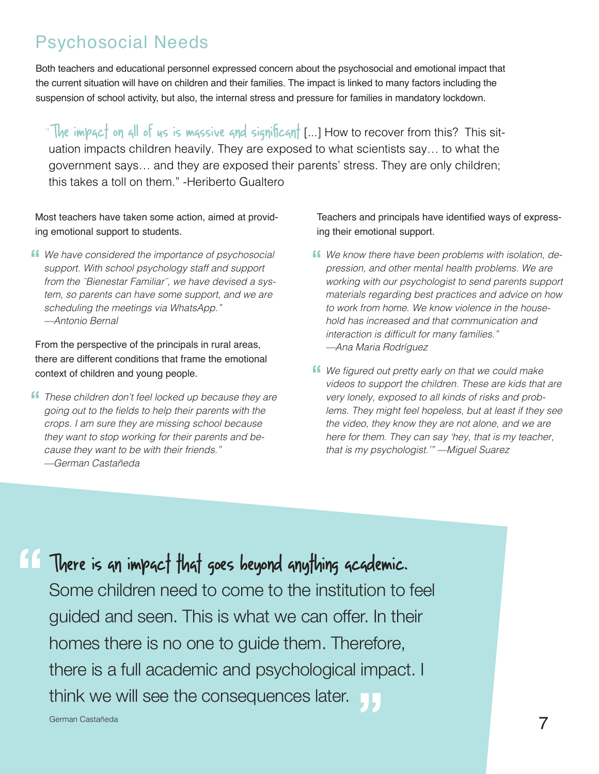# Psychosocial Needs

Both teachers and educational personnel expressed concern about the psychosocial and emotional impact that the current situation will have on children and their families. The impact is linked to many factors including the suspension of school activity, but also, the internal stress and pressure for families in mandatory lockdown.

"The impact on all of us is massive and significant [...] How to recover from this? This situation impacts children heavily. They are exposed to what scientists say… to what the government says… and they are exposed their parents' stress. They are only children; this takes a toll on them." -Heriberto Gualtero

Most teachers have taken some action, aimed at providing emotional support to students.

**f** We have considered the importance of psychosocial support With school psychology staff and support support. With school psychology staff and support from the ¨Bienestar Familiar¨, we have devised a system, so parents can have some support, and we are scheduling the meetings via WhatsApp." —Antonio Bernal

From the perspective of the principals in rural areas, there are different conditions that frame the emotional context of children and young people.

**f** These children don't feel locked up because they are *noing out to the fields to help their parents with the* going out to the fields to help their parents with the crops. I am sure they are missing school because they want to stop working for their parents and because they want to be with their friends." —German Castañeda

Teachers and principals have identified ways of expressing their emotional support.

- **f** We know there have been problems with isolation, dependence or ession. and other mental health problems. We are pression, and other mental health problems. We are working with our psychologist to send parents support materials regarding best practices and advice on how to work from home. We know violence in the household has increased and that communication and interaction is difficult for many families." —Ana Maria Rodríguez
- **f** We figured out pretty early on that we could make<br>videos to support the children. These are kids that videos to support the children. These are kids that are very lonely, exposed to all kinds of risks and problems. They might feel hopeless, but at least if they see the video, they know they are not alone, and we are here for them. They can say 'hey, that is my teacher, that is my psychologist.'" —Miguel Suarez

There is an impact that goes beyond anything academic. Some children need to come to the institution to feel guided and seen. This is what we can offer. In their homes there is no one to guide them. Therefore, there is a full academic and psychological impact. I<br>think we will see the consequences later. think we will see the consequences later. **"**

German Castañeda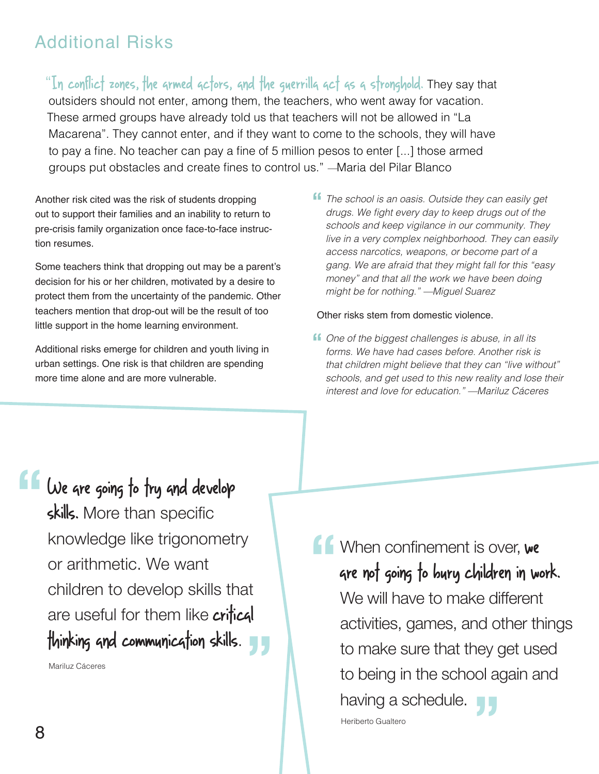# Additional Risks

"In conflict zones, the armed actors, and the guerrilla act as a stronghold. They say that outsiders should not enter, among them, the teachers, who went away for vacation. These armed groups have already told us that teachers will not be allowed in "La Macarena". They cannot enter, and if they want to come to the schools, they will have to pay a fine. No teacher can pay a fine of 5 million pesos to enter [...] those armed groups put obstacles and create fines to control us." —Maria del Pilar Blanco

Another risk cited was the risk of students dropping out to support their families and an inability to return to pre-crisis family organization once face-to-face instruction resumes.

Some teachers think that dropping out may be a parent's decision for his or her children, motivated by a desire to protect them from the uncertainty of the pandemic. Other teachers mention that drop-out will be the result of too little support in the home learning environment.

Additional risks emerge for children and youth living in urban settings. One risk is that children are spending more time alone and are more vulnerable.

**f** The school is an oasis. Outside they can easily get<br>drugs. We fight every day to keep drugs out of the drugs. We fight every day to keep drugs out of the schools and keep vigilance in our community. They live in a very complex neighborhood. They can easily access narcotics, weapons, or become part of a gang. We are afraid that they might fall for this "easy money" and that all the work we have been doing might be for nothing." —Miguel Suarez

Other risks stem from domestic violence.

**f** One of the biggest challenges is abuse, in all its forms We have had cases before Another risk is forms. We have had cases before. Another risk is that children might believe that they can "live without" schools, and get used to this new reality and lose their interest and love for education." —Mariluz Cáceres

We are going to try and develop skills. More than specific knowledge like trigonometry or arithmetic. We want children to develop skills that are useful for them like **crifical** are usetul for them like **crifical**<br>thinking and communication skills. **"**

Mariluz Cáceres

**16** When confinement is over, we<br> **"** are not going to bury children in wo are not going to bury children in work. We will have to make different activities, games, and other things to make sure that they get used to being in the school again and **"** having a schedule. Heriberto Gualtero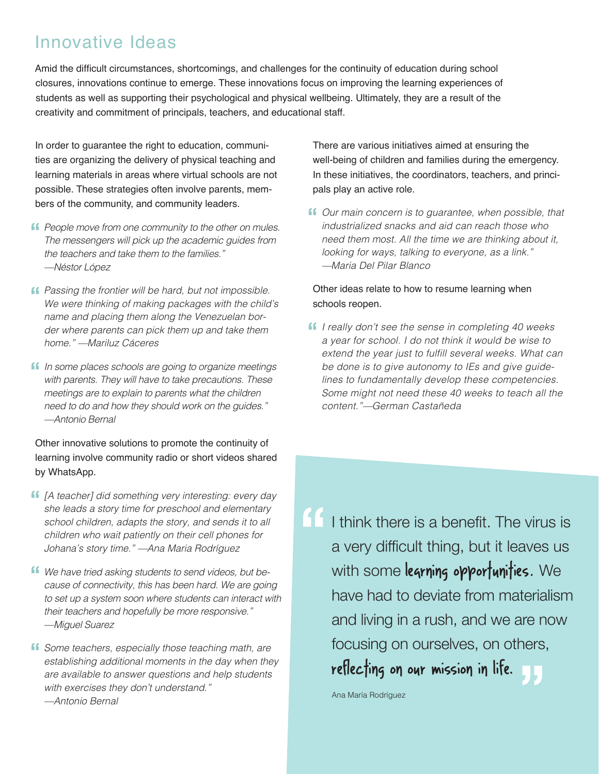# Innovative Ideas

Amid the difficult circumstances, shortcomings, and challenges for the continuity of education during school closures, innovations continue to emerge. These innovations focus on improving the learning experiences of students as well as supporting their psychological and physical wellbeing. Ultimately, they are a result of the creativity and commitment of principals, teachers, and educational staff.

In order to guarantee the right to education, communities are organizing the delivery of physical teaching and learning materials in areas where virtual schools are not possible. These strategies often involve parents, members of the community, and community leaders.

- **f** People move from one community to the other on mules.<br>The messengers will pick up the academic quides from The messengers will pick up the academic guides from the teachers and take them to the families." —Néstor López
- **f** Passing the frontier will be hard, but not impossible.<br>We were thinking of making packages with the child We were thinking of making packages with the child's name and placing them along the Venezuelan border where parents can pick them up and take them home." —Mariluz Cáceres
- **f** In some places schools are going to organize meetings with parents. They will have to take precautions. These with parents. They will have to take precautions. These meetings are to explain to parents what the children need to do and how they should work on the guides." —Antonio Bernal

Other innovative solutions to promote the continuity of learning involve community radio or short videos shared by WhatsApp.

- **f** [A teacher] did something very interesting: every day she leads a story time for preschool and elementary she leads a story time for preschool and elementary school children, adapts the story, and sends it to all children who wait patiently on their cell phones for Johana's story time." —Ana Maria Rodríguez
- We have tried asking students to send videos, but *be-***"** cause of connectivity, this has been hard. We are going to set up a system soon where students can interact with their teachers and hopefully be more responsive." —Miguel Suarez
- **ff** Some teachers, especially those teaching math, are establishing additional moments in the day when the establishing additional moments in the day when they are available to answer questions and help students with exercises they don't understand." —Antonio Bernal

There are various initiatives aimed at ensuring the well-being of children and families during the emergency. In these initiatives, the coordinators, teachers, and principals play an active role.

**f** Our main concern is to guarantee, when possible, that industrialized snacks and aid can reach those who industrialized snacks and aid can reach those who need them most. All the time we are thinking about it, looking for ways, talking to everyone, as a link." —Maria Del Pilar Blanco

#### Other ideas relate to how to resume learning when schools reopen.

**f** I really don't see the sense in completing 40 weeks a vear for school. I do not think it would be wise to a year for school. I do not think it would be wise to extend the year just to fulfill several weeks. What can be done is to give autonomy to IEs and give guidelines to fundamentally develop these competencies. Some might not need these 40 weeks to teach all the content."—German Castañeda

**"** rocusing on ourseives, on otners,<br>reflecting on our mission in life. I think there is a benefit. The virus is a very difficult thing, but it leaves us with some learning opportunities. We have had to deviate from materialism and living in a rush, and we are now focusing on ourselves, on others,

Ana María Rodríguez